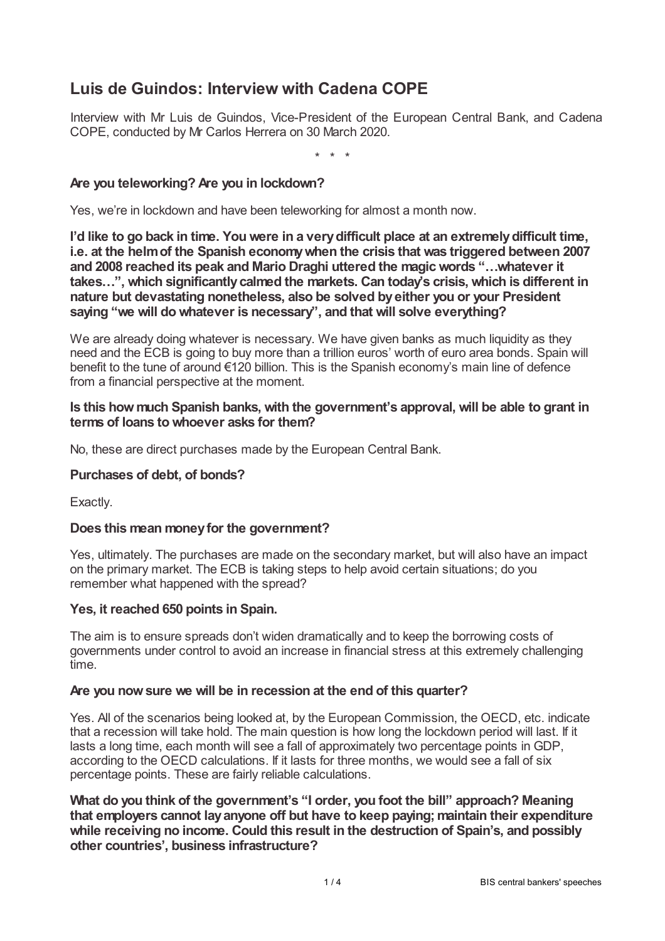# **Luis de Guindos: Interview with Cadena COPE**

Interview with Mr Luis de Guindos, Vice-President of the European Central Bank, and Cadena COPE, conducted by Mr Carlos Herrera on 30 March 2020.

\* \* \*

# **Are you teleworking? Are you in lockdown?**

Yes, we're in lockdown and have been teleworking for almost a month now.

**I'd like to go back in time. You were in a verydifficult place at an extremelydifficult time, i.e. at the helmof the Spanish economywhen the crisis that was triggered between 2007 and 2008 reached its peak and Mario Draghi uttered the magicwords "…whatever it takes…", which significantlycalmed the markets. Can today's crisis, which is different in nature but devastating nonetheless, also be solved byeither you or your President saying "we will do whatever is necessary", and that will solve everything?**

We are already doing whatever is necessary. We have given banks as much liquidity as they need and the ECB is going to buy more than a trillion euros' worth of euro area bonds. Spain will benefit to the tune of around €120 billion. This is the Spanish economy's main line of defence from a financial perspective at the moment.

#### **Is this howmuch Spanish banks, with the government's approval, will be able to grant in terms of loans to whoever asks for them?**

No, these are direct purchases made by the European Central Bank.

#### **Purchases of debt, of bonds?**

Exactly.

#### **Does this mean moneyfor the government?**

Yes, ultimately. The purchases are made on the secondary market, but will also have an impact on the primary market. The ECB is taking steps to help avoid certain situations; do you remember what happened with the spread?

#### **Yes, it reached 650 points in Spain.**

The aim is to ensure spreads don't widen dramatically and to keep the borrowing costs of governments under control to avoid an increase in financial stress at this extremely challenging time.

#### **Are you nowsure we will be in recession at the end of this quarter?**

Yes. All of the scenarios being looked at, by the European Commission, the OECD, etc. indicate that a recession will take hold. The main question is how long the lockdown period will last. If it lasts a long time, each month will see a fall of approximately two percentage points in GDP, according to the OECD calculations. If it lasts for three months, we would see a fall of six percentage points. These are fairly reliable calculations.

**What do you think of the government's "I order, you foot the bill" approach? Meaning that employers cannot layanyone off but have to keep paying;maintain their expenditure while receiving no income. Could this result in the destruction of Spain's, and possibly other countries', business infrastructure?**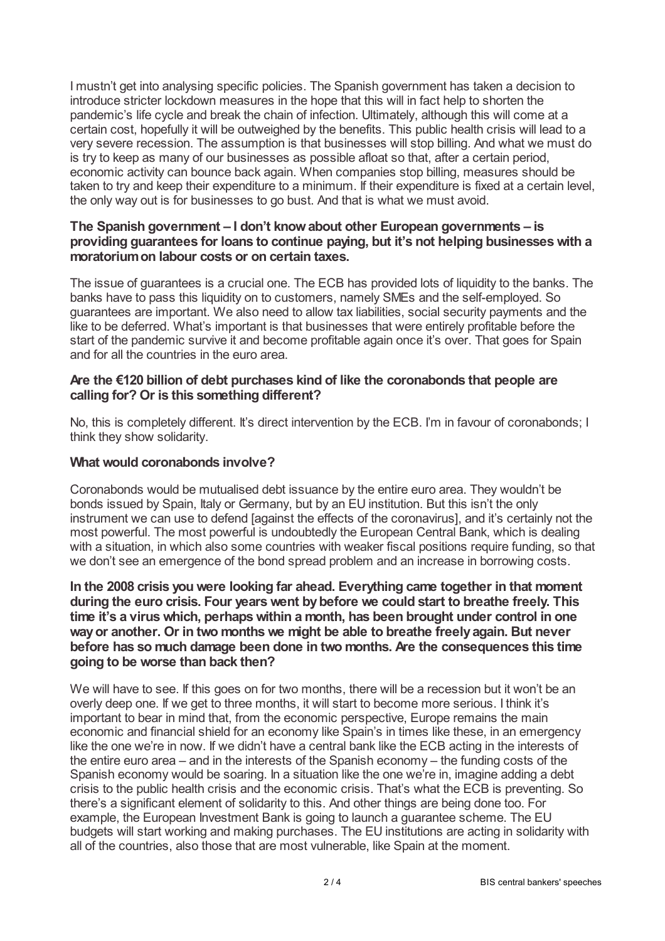I mustn't get into analysing specific policies. The Spanish government has taken a decision to introduce stricter lockdown measures in the hope that this will in fact help to shorten the pandemic's life cycle and break the chain of infection. Ultimately, although this will come at a certain cost, hopefully it will be outweighed by the benefits. This public health crisis will lead to a very severe recession. The assumption is that businesses will stop billing. And what we must do is try to keep as many of our businesses as possible afloat so that, after a certain period, economic activity can bounce back again. When companies stop billing, measures should be taken to try and keep their expenditure to a minimum. If their expenditure is fixed at a certain level, the only way out is for businesses to go bust. And that is what we must avoid.

## **The Spanish government – I don't knowabout other European governments – is providing guarantees for loans to continue paying, but it's not helping businesseswith a moratoriumon labour costs or on certain taxes.**

The issue of guarantees is a crucial one. The ECB has provided lots of liquidity to the banks. The banks have to pass this liquidity on to customers, namely SMEs and the self-employed. So guarantees are important. We also need to allow tax liabilities, social security payments and the like to be deferred. What's important is that businesses that were entirely profitable before the start of the pandemic survive it and become profitable again once it's over. That goes for Spain and for all the countries in the euro area.

## **Are the €120 billion of debt purchases kind of like the coronabonds that people are calling for? Or is this something different?**

No, this is completely different. It's direct intervention by the ECB. I'm in favour of coronabonds; I think they show solidarity.

## **What would coronabonds involve?**

Coronabonds would be mutualised debt issuance by the entire euro area. They wouldn't be bonds issued by Spain, Italy or Germany, but by an EU institution. But this isn't the only instrument we can use to defend [against the effects of the coronavirus], and it's certainly not the most powerful. The most powerful is undoubtedly the European Central Bank, which is dealing with a situation, in which also some countries with weaker fiscal positions require funding, so that we don't see an emergence of the bond spread problem and an increase in borrowing costs.

**In the 2008 crisis you were looking far ahead. Everything came together in that moment during the euro crisis. Four yearswent bybefore we could start to breathe freely. This time it's a viruswhich, perhapswithin a month, has been brought under control in one wayor another. Or in two monthswe might be able to breathe freelyagain. But never before has so much damage been done in two months. Are the consequences this time going to be worse than back then?**

We will have to see. If this goes on for two months, there will be a recession but it won't be an overly deep one. If we get to three months, it will start to become more serious. I think it's important to bear in mind that, from the economic perspective, Europe remains the main economic and financial shield for an economy like Spain's in times like these, in an emergency like the one we're in now. If we didn't have a central bank like the ECB acting in the interests of the entire euro area – and in the interests of the Spanish economy – the funding costs of the Spanish economy would be soaring. In a situation like the one we're in, imagine adding a debt crisis to the public health crisis and the economic crisis. That's what the ECB is preventing. So there's a significant element of solidarity to this. And other things are being done too. For example, the European Investment Bank is going to launch a guarantee scheme. The EU budgets will start working and making purchases. The EU institutions are acting in solidarity with all of the countries, also those that are most vulnerable, like Spain at the moment.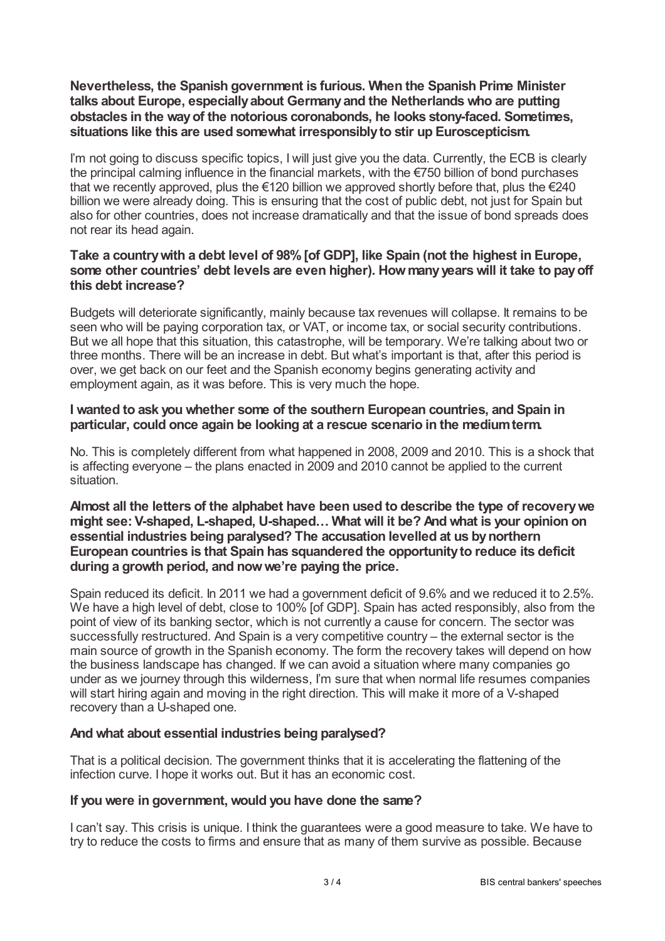## **Nevertheless, the Spanish government is furious. When the Spanish Prime Minister talks about Europe, especiallyabout Germanyand the Netherlandswho are putting obstacles in the wayof the notorious coronabonds, he looks stony-faced. Sometimes, situations like this are used somewhat irresponsiblyto stir up Euroscepticism.**

I'm not going to discuss specific topics, I will just give you the data. Currently, the ECB is clearly the principal calming influence in the financial markets, with the €750 billion of bond purchases that we recently approved, plus the €120 billion we approved shortly before that, plus the €240 billion we were already doing. This is ensuring that the cost of public debt, not just for Spain but also for other countries, does not increase dramatically and that the issue of bond spreads does not rear its head again.

# **Take a countrywith a debt level of 98%[of GDP], like Spain (not the highest in Europe, some other countries' debt levels are even higher). Howmanyyearswill it take to payoff this debt increase?**

Budgets will deteriorate significantly, mainly because tax revenues will collapse. It remains to be seen who will be paying corporation tax, or VAT, or income tax, or social security contributions. But we all hope that this situation, this catastrophe, will be temporary. We're talking about two or three months. There will be an increase in debt. But what's important is that, after this period is over, we get back on our feet and the Spanish economy begins generating activity and employment again, as it was before. This is very much the hope.

# **I wanted to ask you whether some of the southern European countries, and Spain in particular, could once again be looking at a rescue scenario in the mediumterm.**

No. This is completely different from what happened in 2008, 2009 and 2010. This is a shock that is affecting everyone – the plans enacted in 2009 and 2010 cannot be applied to the current situation.

## **Almost all the letters of the alphabet have been used to describe the type of recoverywe might see: V-shaped, L-shaped, U-shaped… What will it be? And what is your opinion on essential industries being paralysed? The accusation levelled at us bynorthern European countries is that Spain has squandered the opportunityto reduce its deficit during a growth period, and nowwe're paying the price.**

Spain reduced its deficit. In 2011 we had a government deficit of 9.6% and we reduced it to 2.5%. We have a high level of debt, close to 100% [of GDP]. Spain has acted responsibly, also from the point of view of its banking sector, which is not currently a cause for concern. The sector was successfully restructured. And Spain is a very competitive country – the external sector is the main source of growth in the Spanish economy. The form the recovery takes will depend on how the business landscape has changed. If we can avoid a situation where many companies go under as we journey through this wilderness, I'm sure that when normal life resumes companies will start hiring again and moving in the right direction. This will make it more of a V-shaped recovery than a U-shaped one.

# **And what about essential industries being paralysed?**

That is a political decision. The government thinks that it is accelerating the flattening of the infection curve. I hope it works out. But it has an economic cost.

# **If you were in government, would you have done the same?**

I can't say. This crisis is unique. I think the guarantees were a good measure to take. We have to try to reduce the costs to firms and ensure that as many of them survive as possible. Because